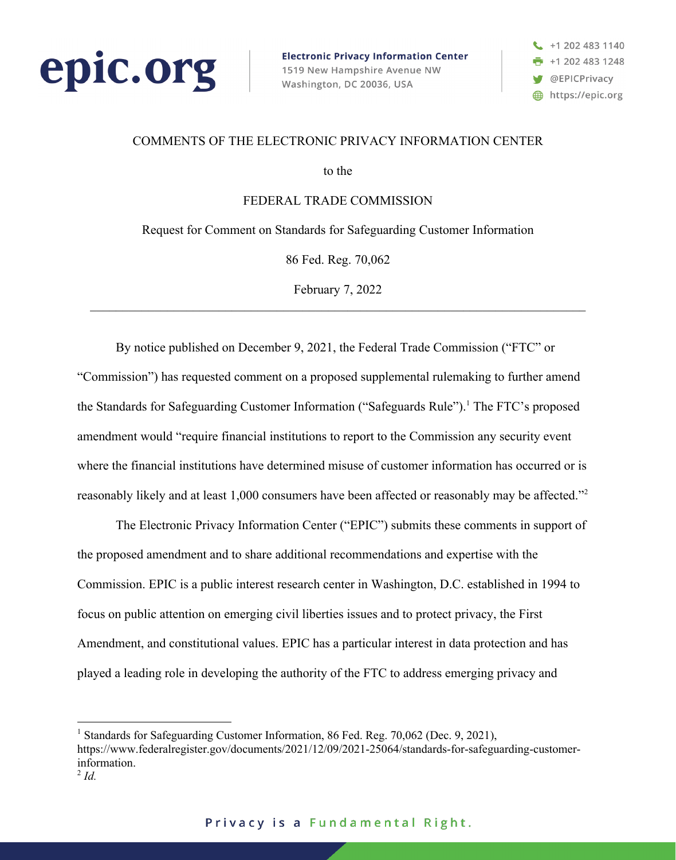

**Electronic Privacy Information Center** 1519 New Hampshire Avenue NW Washington, DC 20036, USA



#### COMMENTS OF THE ELECTRONIC PRIVACY INFORMATION CENTER

to the

FEDERAL TRADE COMMISSION

Request for Comment on Standards for Safeguarding Customer Information

86 Fed. Reg. 70,062

February 7, 2022

By notice published on December 9, 2021, the Federal Trade Commission ("FTC" or "Commission") has requested comment on a proposed supplemental rulemaking to further amend the Standards for Safeguarding Customer Information ("Safeguards Rule").<sup>1</sup> The FTC's proposed amendment would "require financial institutions to report to the Commission any security event where the financial institutions have determined misuse of customer information has occurred or is reasonably likely and at least 1,000 consumers have been affected or reasonably may be affected."2

The Electronic Privacy Information Center ("EPIC") submits these comments in support of the proposed amendment and to share additional recommendations and expertise with the Commission. EPIC is a public interest research center in Washington, D.C. established in 1994 to focus on public attention on emerging civil liberties issues and to protect privacy, the First Amendment, and constitutional values. EPIC has a particular interest in data protection and has played a leading role in developing the authority of the FTC to address emerging privacy and

Standards for Safeguarding Customer Information, 86 Fed. Reg. 70,062 (Dec. 9, 2021),

https://www.federalregister.gov/documents/2021/12/09/2021-25064/standards-for-safeguarding-customerinformation.

 $^{2}$  *Id.*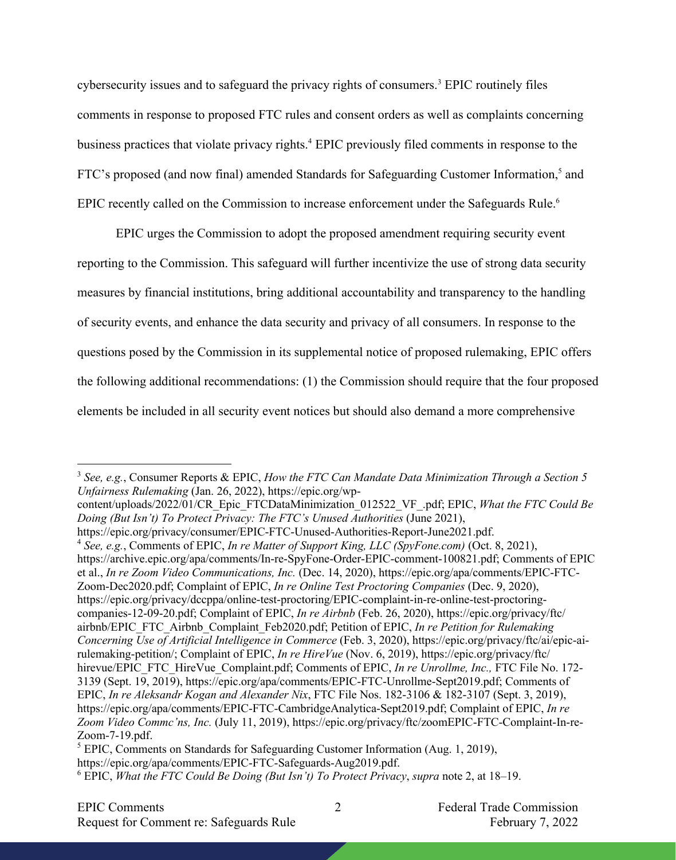cybersecurity issues and to safeguard the privacy rights of consumers. <sup>3</sup> EPIC routinely files comments in response to proposed FTC rules and consent orders as well as complaints concerning business practices that violate privacy rights. <sup>4</sup> EPIC previously filed comments in response to the FTC's proposed (and now final) amended Standards for Safeguarding Customer Information,<sup>5</sup> and EPIC recently called on the Commission to increase enforcement under the Safeguards Rule.<sup>6</sup>

EPIC urges the Commission to adopt the proposed amendment requiring security event reporting to the Commission. This safeguard will further incentivize the use of strong data security measures by financial institutions, bring additional accountability and transparency to the handling of security events, and enhance the data security and privacy of all consumers. In response to the questions posed by the Commission in its supplemental notice of proposed rulemaking, EPIC offers the following additional recommendations: (1) the Commission should require that the four proposed elements be included in all security event notices but should also demand a more comprehensive

<sup>3</sup> *See, e.g.*, Consumer Reports & EPIC, *How the FTC Can Mandate Data Minimization Through a Section 5 Unfairness Rulemaking* (Jan. 26, 2022), https://epic.org/wp-

content/uploads/2022/01/CR\_Epic\_FTCDataMinimization\_012522\_VF\_.pdf; EPIC, *What the FTC Could Be Doing (But Isn't) To Protect Privacy: The FTC's Unused Authorities* (June 2021),

https://epic.org/privacy/consumer/EPIC-FTC-Unused-Authorities-Report-June2021.pdf.

<sup>4</sup> *See, e.g.*, Comments of EPIC, *In re Matter of Support King, LLC (SpyFone.com)* (Oct. 8, 2021), https://archive.epic.org/apa/comments/In-re-SpyFone-Order-EPIC-comment-100821.pdf; Comments of EPIC et al., *In re Zoom Video Communications, Inc.* (Dec. 14, 2020), https://epic.org/apa/comments/EPIC-FTC-Zoom-Dec2020.pdf; Complaint of EPIC, *In re Online Test Proctoring Companies* (Dec. 9, 2020), https://epic.org/privacy/dccppa/online-test-proctoring/EPIC-complaint-in-re-online-test-proctoringcompanies-12-09-20.pdf; Complaint of EPIC, *In re Airbnb* (Feb. 26, 2020), https://epic.org/privacy/ftc/ airbnb/EPIC\_FTC\_Airbnb\_Complaint\_Feb2020.pdf; Petition of EPIC, *In re Petition for Rulemaking Concerning Use of Artificial Intelligence in Commerce* (Feb. 3, 2020), https://epic.org/privacy/ftc/ai/epic-airulemaking-petition/; Complaint of EPIC, *In re HireVue* (Nov. 6, 2019), https://epic.org/privacy/ftc/ hirevue/EPIC\_FTC\_HireVue\_Complaint.pdf; Comments of EPIC, *In re Unrollme, Inc., FTC File No. 172-*3139 (Sept. 19, 2019), https://epic.org/apa/comments/EPIC-FTC-Unrollme-Sept2019.pdf; Comments of EPIC, *In re Aleksandr Kogan and Alexander Nix*, FTC File Nos. 182-3106 & 182-3107 (Sept. 3, 2019), https://epic.org/apa/comments/EPIC-FTC-CambridgeAnalytica-Sept2019.pdf; Complaint of EPIC, *In re Zoom Video Commc'ns, Inc.* (July 11, 2019), https://epic.org/privacy/ftc/zoomEPIC-FTC-Complaint-In-re-Zoom-7-19.pdf.

<sup>5</sup> EPIC, Comments on Standards for Safeguarding Customer Information (Aug. 1, 2019), https://epic.org/apa/comments/EPIC-FTC-Safeguards-Aug2019.pdf. <sup>6</sup> EPIC, *What the FTC Could Be Doing (But Isn't) To Protect Privacy*, *supra* note 2, at 18–19.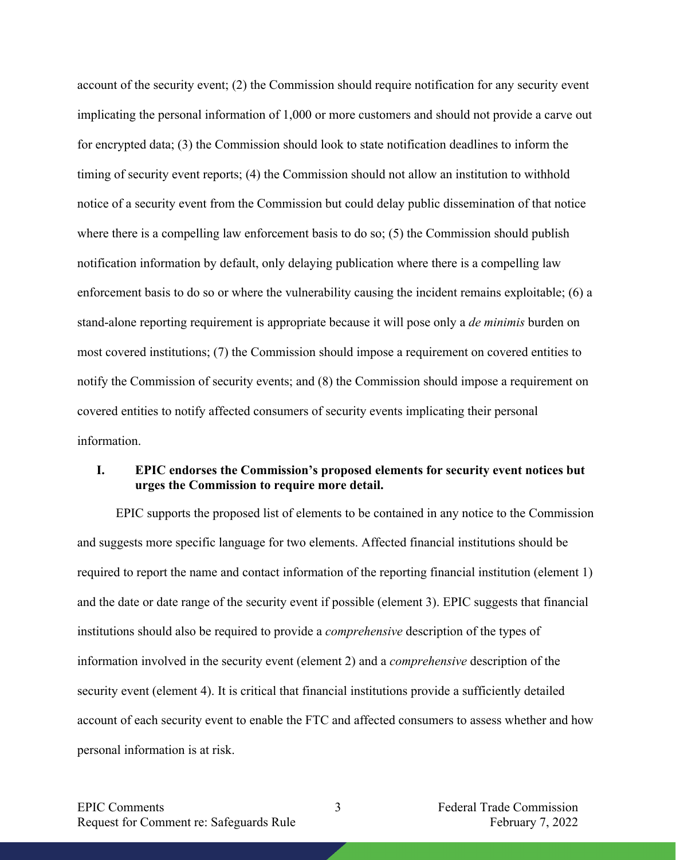account of the security event; (2) the Commission should require notification for any security event implicating the personal information of 1,000 or more customers and should not provide a carve out for encrypted data; (3) the Commission should look to state notification deadlines to inform the timing of security event reports; (4) the Commission should not allow an institution to withhold notice of a security event from the Commission but could delay public dissemination of that notice where there is a compelling law enforcement basis to do so; (5) the Commission should publish notification information by default, only delaying publication where there is a compelling law enforcement basis to do so or where the vulnerability causing the incident remains exploitable; (6) a stand-alone reporting requirement is appropriate because it will pose only a *de minimis* burden on most covered institutions; (7) the Commission should impose a requirement on covered entities to notify the Commission of security events; and (8) the Commission should impose a requirement on covered entities to notify affected consumers of security events implicating their personal information.

## **I. EPIC endorses the Commission's proposed elements for security event notices but urges the Commission to require more detail.**

EPIC supports the proposed list of elements to be contained in any notice to the Commission and suggests more specific language for two elements. Affected financial institutions should be required to report the name and contact information of the reporting financial institution (element 1) and the date or date range of the security event if possible (element 3). EPIC suggests that financial institutions should also be required to provide a *comprehensive* description of the types of information involved in the security event (element 2) and a *comprehensive* description of the security event (element 4). It is critical that financial institutions provide a sufficiently detailed account of each security event to enable the FTC and affected consumers to assess whether and how personal information is at risk.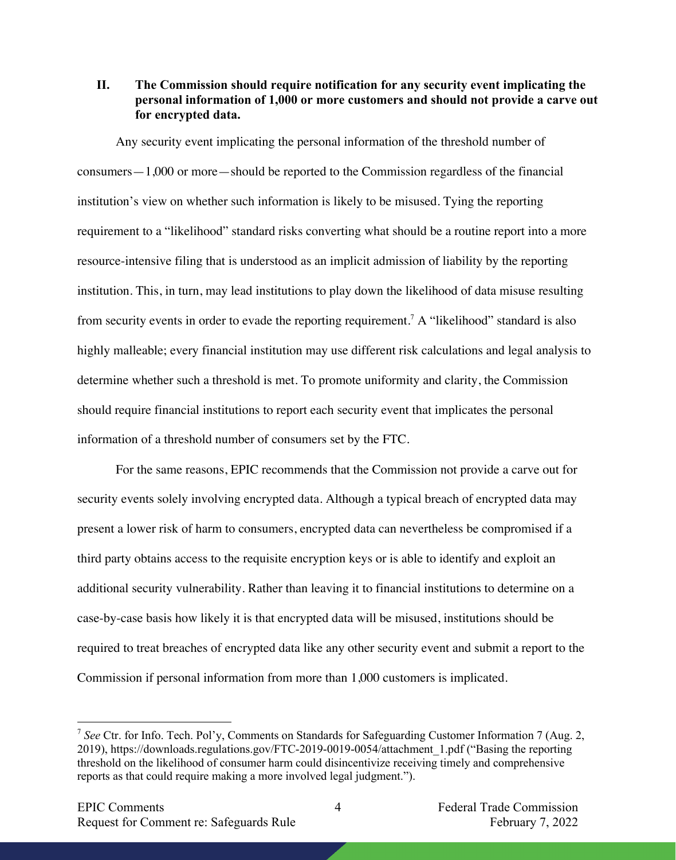**II. The Commission should require notification for any security event implicating the personal information of 1,000 or more customers and should not provide a carve out for encrypted data.**

Any security event implicating the personal information of the threshold number of consumers—1,000 or more—should be reported to the Commission regardless of the financial institution's view on whether such information is likely to be misused. Tying the reporting requirement to a "likelihood" standard risks converting what should be a routine report into a more resource-intensive filing that is understood as an implicit admission of liability by the reporting institution. This, in turn, may lead institutions to play down the likelihood of data misuse resulting from security events in order to evade the reporting requirement.<sup>7</sup> A "likelihood" standard is also highly malleable; every financial institution may use different risk calculations and legal analysis to determine whether such a threshold is met. To promote uniformity and clarity, the Commission should require financial institutions to report each security event that implicates the personal information of a threshold number of consumers set by the FTC.

For the same reasons, EPIC recommends that the Commission not provide a carve out for security events solely involving encrypted data. Although a typical breach of encrypted data may present a lower risk of harm to consumers, encrypted data can nevertheless be compromised if a third party obtains access to the requisite encryption keys or is able to identify and exploit an additional security vulnerability. Rather than leaving it to financial institutions to determine on a case-by-case basis how likely it is that encrypted data will be misused, institutions should be required to treat breaches of encrypted data like any other security event and submit a report to the Commission if personal information from more than 1,000 customers is implicated.

<sup>7</sup> *See* Ctr. for Info. Tech. Pol'y, Comments on Standards for Safeguarding Customer Information 7 (Aug. 2, 2019), https://downloads.regulations.gov/FTC-2019-0019-0054/attachment\_1.pdf ("Basing the reporting threshold on the likelihood of consumer harm could disincentivize receiving timely and comprehensive reports as that could require making a more involved legal judgment.").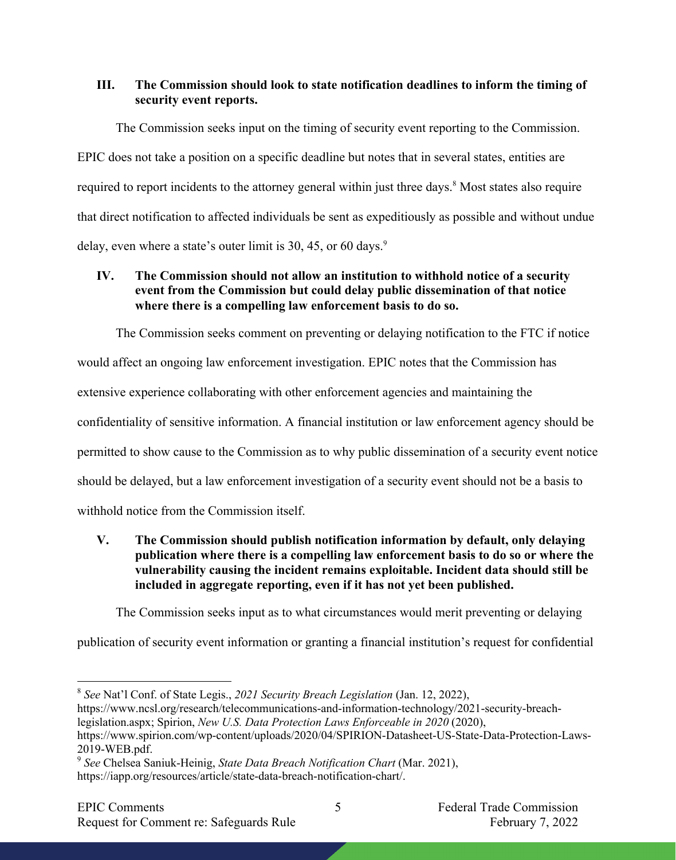## **III. The Commission should look to state notification deadlines to inform the timing of security event reports.**

The Commission seeks input on the timing of security event reporting to the Commission. EPIC does not take a position on a specific deadline but notes that in several states, entities are required to report incidents to the attorney general within just three days.<sup>8</sup> Most states also require that direct notification to affected individuals be sent as expeditiously as possible and without undue delay, even where a state's outer limit is 30, 45, or 60 days. $9$ 

# **IV. The Commission should not allow an institution to withhold notice of a security event from the Commission but could delay public dissemination of that notice where there is a compelling law enforcement basis to do so.**

The Commission seeks comment on preventing or delaying notification to the FTC if notice would affect an ongoing law enforcement investigation. EPIC notes that the Commission has extensive experience collaborating with other enforcement agencies and maintaining the confidentiality of sensitive information. A financial institution or law enforcement agency should be permitted to show cause to the Commission as to why public dissemination of a security event notice should be delayed, but a law enforcement investigation of a security event should not be a basis to withhold notice from the Commission itself.

**V. The Commission should publish notification information by default, only delaying publication where there is a compelling law enforcement basis to do so or where the vulnerability causing the incident remains exploitable. Incident data should still be included in aggregate reporting, even if it has not yet been published.**

The Commission seeks input as to what circumstances would merit preventing or delaying

publication of security event information or granting a financial institution's request for confidential

<sup>8</sup> *See* Nat'l Conf. of State Legis., *2021 Security Breach Legislation* (Jan. 12, 2022),

https://www.ncsl.org/research/telecommunications-and-information-technology/2021-security-breachlegislation.aspx; Spirion, *New U.S. Data Protection Laws Enforceable in 2020* (2020),

https://www.spirion.com/wp-content/uploads/2020/04/SPIRION-Datasheet-US-State-Data-Protection-Laws-2019-WEB.pdf.

<sup>9</sup> *See* Chelsea Saniuk-Heinig, *State Data Breach Notification Chart* (Mar. 2021), https://iapp.org/resources/article/state-data-breach-notification-chart/.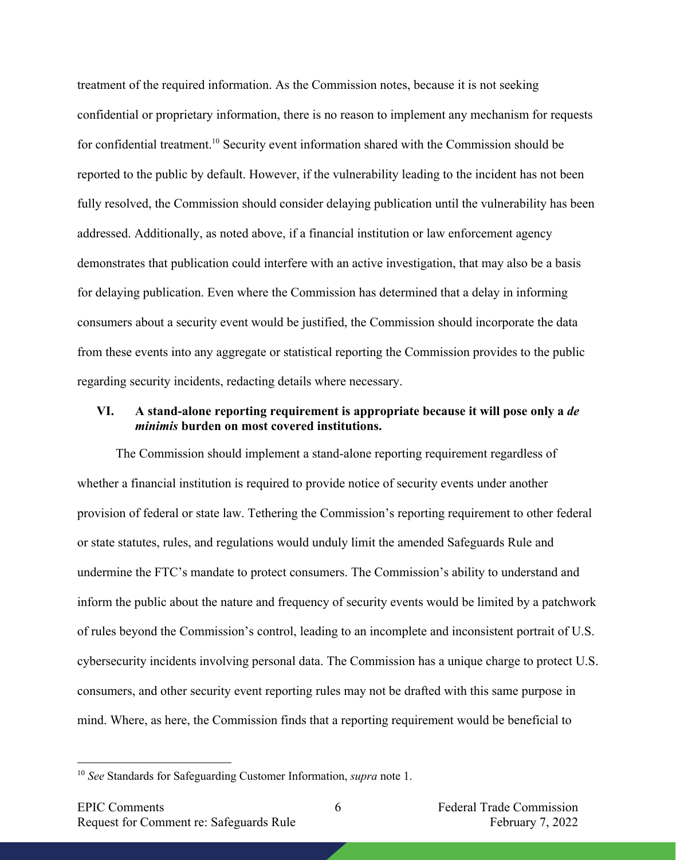treatment of the required information. As the Commission notes, because it is not seeking confidential or proprietary information, there is no reason to implement any mechanism for requests for confidential treatment.<sup>10</sup> Security event information shared with the Commission should be reported to the public by default. However, if the vulnerability leading to the incident has not been fully resolved, the Commission should consider delaying publication until the vulnerability has been addressed. Additionally, as noted above, if a financial institution or law enforcement agency demonstrates that publication could interfere with an active investigation, that may also be a basis for delaying publication. Even where the Commission has determined that a delay in informing consumers about a security event would be justified, the Commission should incorporate the data from these events into any aggregate or statistical reporting the Commission provides to the public regarding security incidents, redacting details where necessary.

#### **VI. A stand-alone reporting requirement is appropriate because it will pose only a** *de minimis* **burden on most covered institutions.**

The Commission should implement a stand-alone reporting requirement regardless of whether a financial institution is required to provide notice of security events under another provision of federal or state law. Tethering the Commission's reporting requirement to other federal or state statutes, rules, and regulations would unduly limit the amended Safeguards Rule and undermine the FTC's mandate to protect consumers. The Commission's ability to understand and inform the public about the nature and frequency of security events would be limited by a patchwork of rules beyond the Commission's control, leading to an incomplete and inconsistent portrait of U.S. cybersecurity incidents involving personal data. The Commission has a unique charge to protect U.S. consumers, and other security event reporting rules may not be drafted with this same purpose in mind. Where, as here, the Commission finds that a reporting requirement would be beneficial to

<sup>10</sup> *See* Standards for Safeguarding Customer Information, *supra* note 1.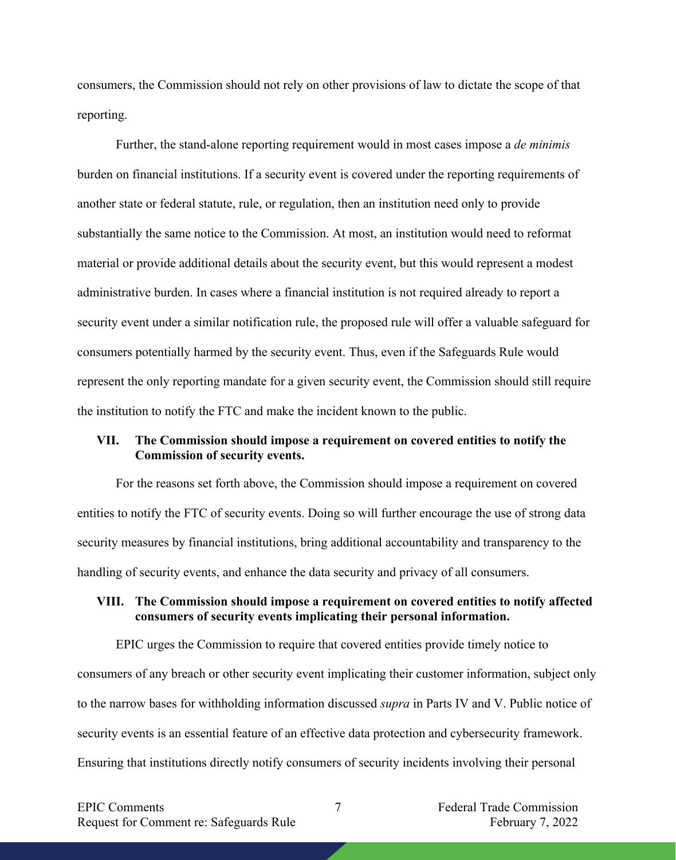consumers, the Commission should not rely on other provisions of law to dictate the scope of that reporting.

Further, the stand-alone reporting requirement would in most cases impose a *de minimis* burden on financial institutions. If a security event is covered under the reporting requirements of another state or federal statute, rule, or regulation, then an institution need only to provide substantially the same notice to the Commission. At most, an institution would need to reformat material or provide additional details about the security event, but this would represent a modest administrative burden. In cases where a financial institution is not required already to report a security event under a similar notification rule, the proposed rule will offer a valuable safeguard for consumers potentially harmed by the security event. Thus, even if the Safeguards Rule would represent the only reporting mandate for a given security event, the Commission should still require the institution to notify the FTC and make the incident known to the public.

### **VII. The Commission should impose a requirement on covered entities to notify the Commission of security events.**

For the reasons set forth above, the Commission should impose a requirement on covered entities to notify the FTC of security events. Doing so will further encourage the use of strong data security measures by financial institutions, bring additional accountability and transparency to the handling of security events, and enhance the data security and privacy of all consumers.

### **VIII. The Commission should impose a requirement on covered entities to notify affected consumers of security events implicating their personal information.**

EPIC urges the Commission to require that covered entities provide timely notice to consumers of any breach or other security event implicating their customer information, subject only to the narrow bases for withholding information discussed *supra* in Parts IV and V. Public notice of security events is an essential feature of an effective data protection and cybersecurity framework. Ensuring that institutions directly notify consumers of security incidents involving their personal